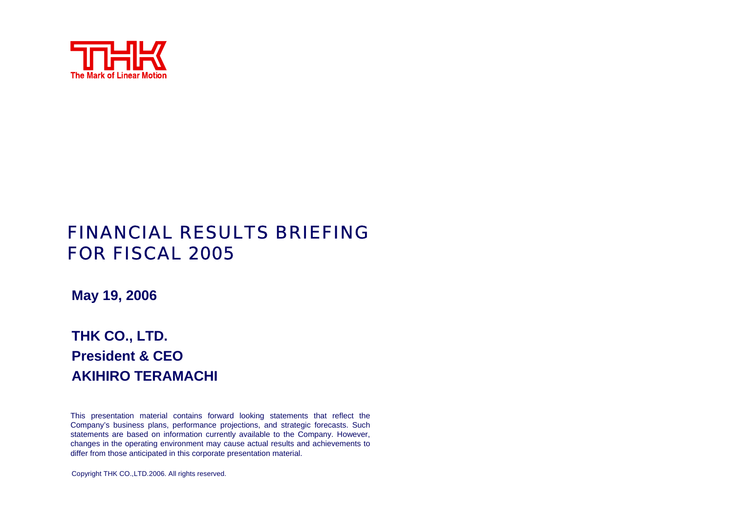

# FINANCIAL RESULTS BRIEFING FOR FISCAL 2005

**May 19, 2006**

# **THK CO., LTD. President & CEOAKIHIRO TERAMACHI**

This presentation material contains for ward looking statements that reflect the Company's business plans, performance projections, and strategic forecasts. Such statements are based on information currently available to the Company. Ho wever, changes in the operating environment may cause actual results and achievements to differ from those anticipated in this corporate presentation material.

Copyright THK CO.,LTD.2006. All rights reserved.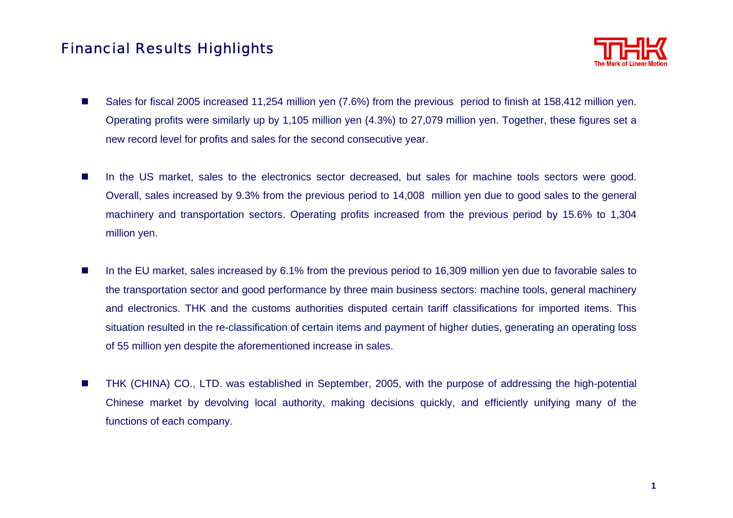# Financial Results Highlights



- **The State**  Sales for fiscal 2005 increased 11,254 million yen (7.6%) from the previous period to finish at 158,412 million yen. Operating profits were similarly up by 1,105 million yen (4.3%) to 27,079 million yen. Together, these figures set <sup>a</sup> new record level for profits and sales for the second consecutive year.
- **The Second** In the US market, sales to the electronics sector decreased, but sales for machine tools sectors were good. Overall, sales increased by 9.3% from the previous period to 14,008 million yen due to good sales to the general machinery and transportation sectors. Operating profits increased from the previous period by 15.6% to 1,304 million yen.
- $\blacksquare$  In the EU market, sales increased by 6.1% from the previous period to 16,309 million yen due to favorable sales to the transportation sector and good performance by three main business sectors: machine tools, general machinery and electronics. THK and the customs authorities disputed certain tariff classifications for imported items. This situation resulted in the re-classification of certain items and payment of higher duties, generating an operating loss of 55 million yen despite the aforementioned increase in sales.
- П THK (CHINA) CO., LTD. was established in September, 2005, with the purpose of addressing the high-potential Chinese market by devolving local authority, making decisions quickly, and efficiently unifying many of the functions of each company.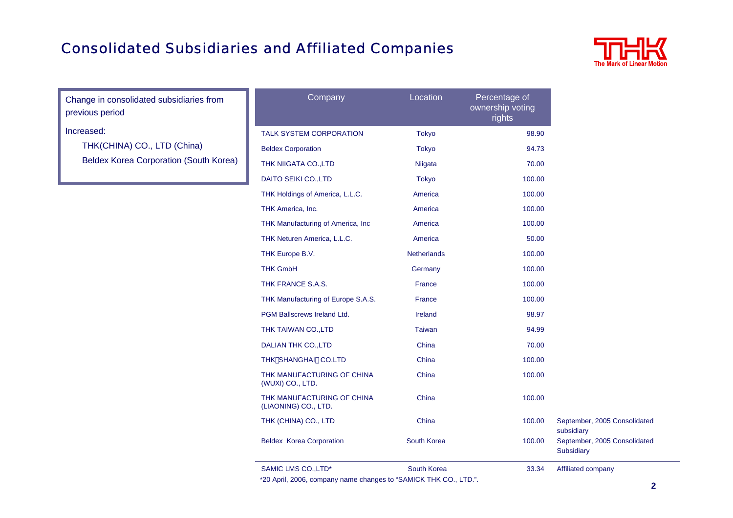# Consolidated Subsidiaries and Affiliated Companies



Change in consolidated subsidiaries from previous period

Increased:

THK(CHINA) CO., LTD (China) Beldex Korea Corporation (South Korea)

| Company                                            | Location           | Percentage of<br>ownership voting<br>rights |
|----------------------------------------------------|--------------------|---------------------------------------------|
| <b>TALK SYSTEM CORPORATION</b>                     | <b>Tokyo</b>       | 98.90                                       |
| <b>Beldex Corporation</b>                          | <b>Tokyo</b>       | 94.73                                       |
| THK NIIGATA CO., LTD                               | Niigata            | 70.00                                       |
| <b>DAITO SEIKI CO., LTD</b>                        | <b>Tokyo</b>       | 100.00                                      |
| THK Holdings of America, L.L.C.                    | America            | 100.00                                      |
| THK America, Inc.                                  | America            | 100.00                                      |
| THK Manufacturing of America, Inc                  | America            | 100.00                                      |
| THK Neturen America, L.L.C.                        | America            | 50.00                                       |
| THK Europe B.V.                                    | <b>Netherlands</b> | 100.00                                      |
| <b>THK GmbH</b>                                    | Germany            | 100.00                                      |
| THK FRANCE S.A.S.                                  | <b>France</b>      | 100.00                                      |
| THK Manufacturing of Europe S.A.S.                 | <b>France</b>      | 100.00                                      |
| <b>PGM Ballscrews Ireland Ltd.</b>                 | <b>Ireland</b>     | 98.97                                       |
| THK TAIWAN CO., LTD                                | <b>Taiwan</b>      | 94.99                                       |
| <b>DALIAN THK CO., LTD</b>                         | China              | 70.00                                       |
| THK SHANGHAI CO.LTD                                | China              | 100.00                                      |
| THK MANUFACTURING OF CHINA<br>(WUXI) CO., LTD.     | China              | 100.00                                      |
| THK MANUFACTURING OF CHINA<br>(LIAONING) CO., LTD. | China              | 100.00                                      |
| THK (CHINA) CO., LTD                               | China              | 100.00                                      |
| <b>Beldex Korea Corporation</b>                    | South Korea        | 100.00                                      |
| SAMIC LMS CO., LTD*                                | South Korea        | 33.34                                       |

\*20 April, 2006, company name changes to "SAMICK THK CO., LTD.".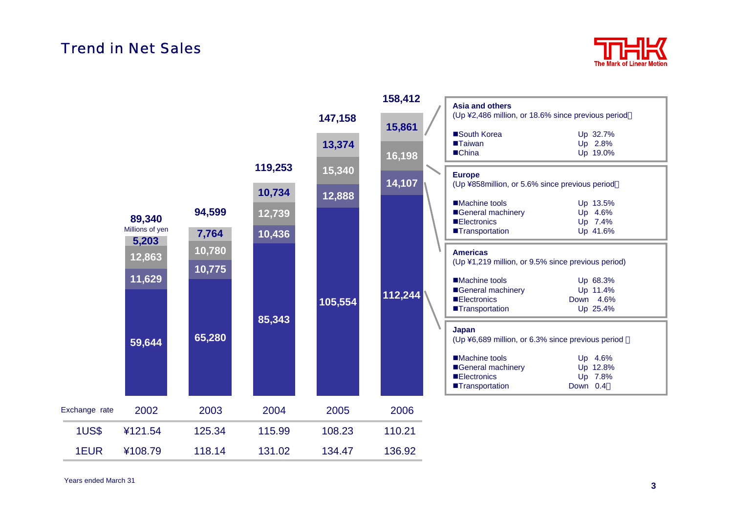### Trend in Net Sales



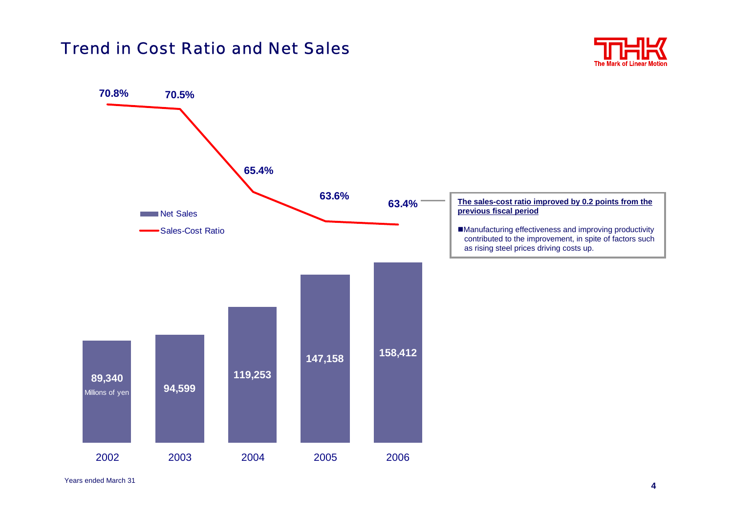# Trend in Cost Ratio and Net Sales



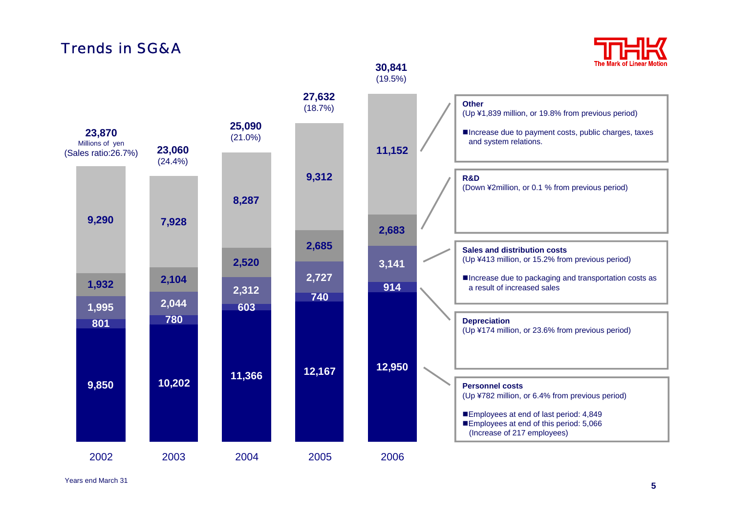# Trends in SG&*l*



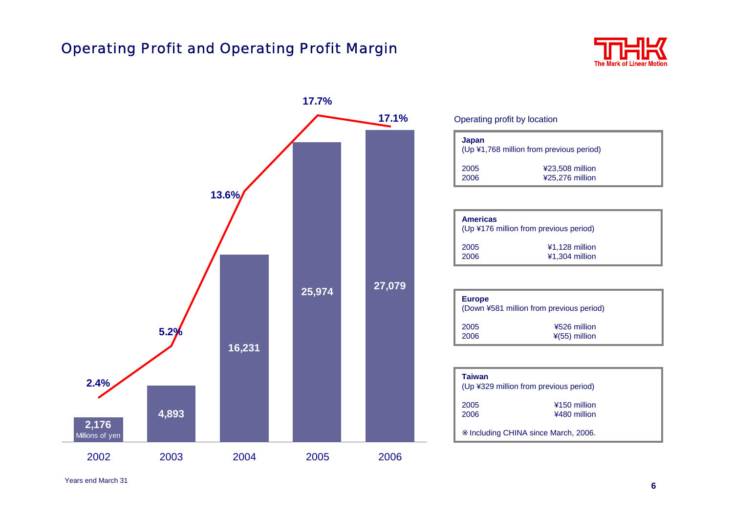# Operating Profit and Operating Profit Margin





#### Operating profit by location

| Japan<br>(Up ¥1,768 million from previous period) |                                    |  |  |
|---------------------------------------------------|------------------------------------|--|--|
| 2005<br>2006                                      | ¥23,508 million<br>¥25,276 million |  |  |

| <b>Americas</b><br>(Up ¥176 million from previous period) |                |  |  |
|-----------------------------------------------------------|----------------|--|--|
| 2005                                                      | ¥1,128 million |  |  |
| 2006                                                      | ¥1.304 million |  |  |

| <b>Europe</b><br>(Down ¥581 million from previous period) |                 |  |
|-----------------------------------------------------------|-----------------|--|
| 2005                                                      | ¥526 million    |  |
| 2006                                                      | $*(55)$ million |  |

| Taiwan<br>(Up ¥329 million from previous period) |                              |  |  |
|--------------------------------------------------|------------------------------|--|--|
| 2005<br>2006                                     | ¥150 million<br>¥480 million |  |  |
| Including CHINA since March, 2006.               |                              |  |  |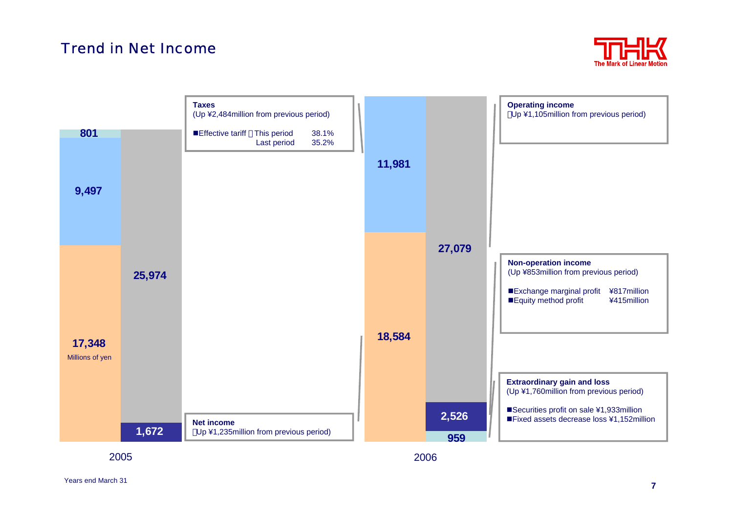# Trend in Net Income



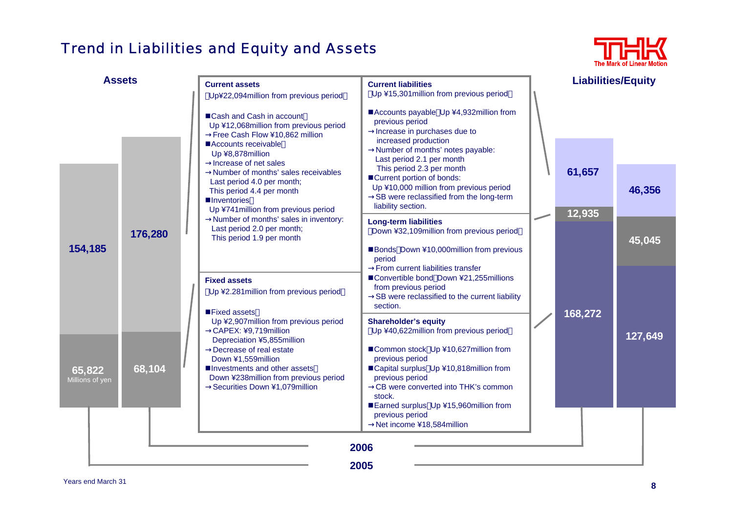# Trend in Liabilities and Equity and Assets



| <b>Assets</b>             |         | <b>Current assets</b><br>Up¥22,094million from previous period                                                                                                                                                                                           | <b>Current liabilities</b><br>Up ¥15,301 million from previous period                                                                                                                                                                                                                    | <b>Liabilities/Equity</b> |         |
|---------------------------|---------|----------------------------------------------------------------------------------------------------------------------------------------------------------------------------------------------------------------------------------------------------------|------------------------------------------------------------------------------------------------------------------------------------------------------------------------------------------------------------------------------------------------------------------------------------------|---------------------------|---------|
|                           |         | ■Cash and Cash in account<br>Up ¥12,068million from previous period<br>Free Cash Flow ¥10,862 million<br>Accounts receivable<br>Up ¥8,878million<br>Increase of net sales                                                                                | ■Accounts payable Up ¥4,932million from<br>previous period<br>Increase in purchases due to<br>increased production<br>Number of months' notes payable:<br>Last period 2.1 per month                                                                                                      |                           |         |
|                           |         | Number of months' sales receivables<br>Last period 4.0 per month;<br>This period 4.4 per month<br><b>Inventories</b><br>Up ¥741 million from previous period                                                                                             | This period 2.3 per month<br>■Current portion of bonds:<br>Up ¥10,000 million from previous period<br>SB were reclassified from the long-term<br>liability section.                                                                                                                      | 61,657<br>12,935          | 46,356  |
| 154,185                   | 176,280 | Number of months' sales in inventory:<br>Last period 2.0 per month;<br>This period 1.9 per month                                                                                                                                                         | <b>Long-term liabilities</b><br>Down ¥32,109million from previous period<br>Bonds Down ¥10,000million from previous<br>period                                                                                                                                                            |                           | 45,045  |
|                           |         | <b>Fixed assets</b><br>Up ¥2.281 million from previous period<br>■Fixed assets                                                                                                                                                                           | From current liabilities transfer<br>■Convertible bond Down ¥21,255millions<br>from previous period<br>SB were reclassified to the current liability<br>section.                                                                                                                         | 168,272                   |         |
| 65,822<br>Millions of yen | 68,104  | Up ¥2,907 million from previous period<br>CAPEX: ¥9,719million<br>Depreciation ¥5,855million<br>Decrease of real estate<br>Down ¥1,559million<br>■Investments and other assets<br>Down ¥238million from previous period<br>Securities Down ¥1,079million | <b>Shareholder's equity</b><br>Up ¥40,622million from previous period<br>■Common stock Up ¥10,627million from<br>previous period<br>■Capital surplus Up ¥10,818million from<br>previous period<br>CB were converted into THK's common<br>stock.<br>Earned surplus Up ¥15,960million from |                           | 127,649 |
|                           |         |                                                                                                                                                                                                                                                          | previous period<br>Net income ¥18,584 million<br>2006<br>2005                                                                                                                                                                                                                            |                           |         |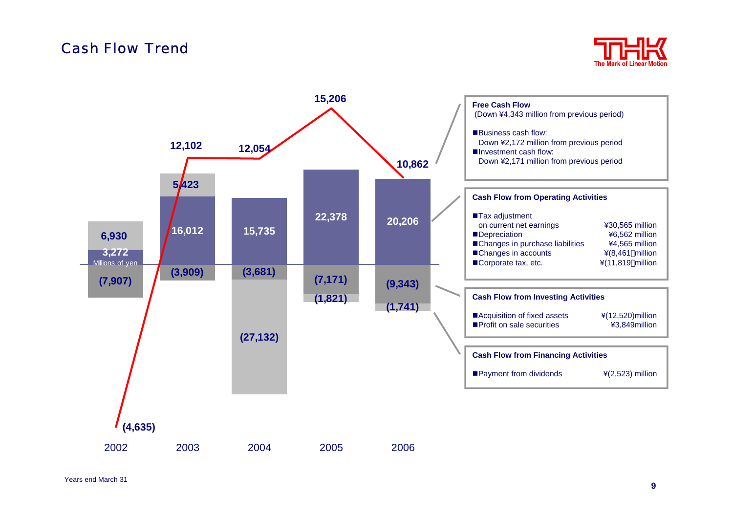### Cash Flow Trend



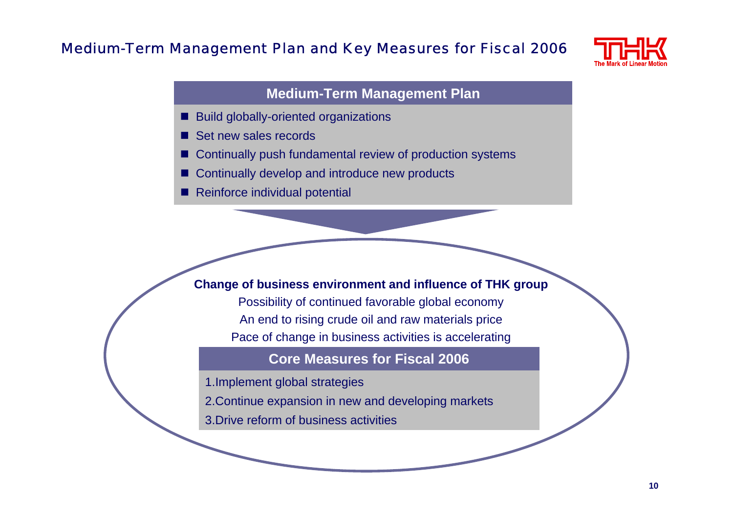# Medium-Term Management Plan and Key Measures for Fiscal 2006



#### **Medium-Term Management Plan**

- П Build globally-oriented organizations
- П Set new sales records
- П Continually push fundamental review of production systems
- П Continually develop and introduce new products
- П Reinforce individual potential

#### **Change of business environment and influence of THK group**

Possibility of continued favorable global economy An end to rising crude oil and raw materials price Pace of change in business activities is accelerating

#### **Core Measures for Fiscal 2006**

- 1.Implement global strategies
- 2.Continue expansion in new and developing markets
- 3.Drive reform of business activities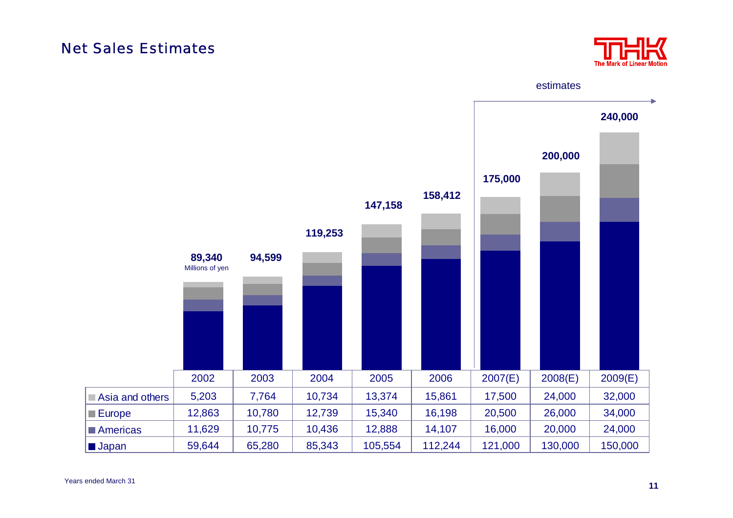### Net Sales Estimates



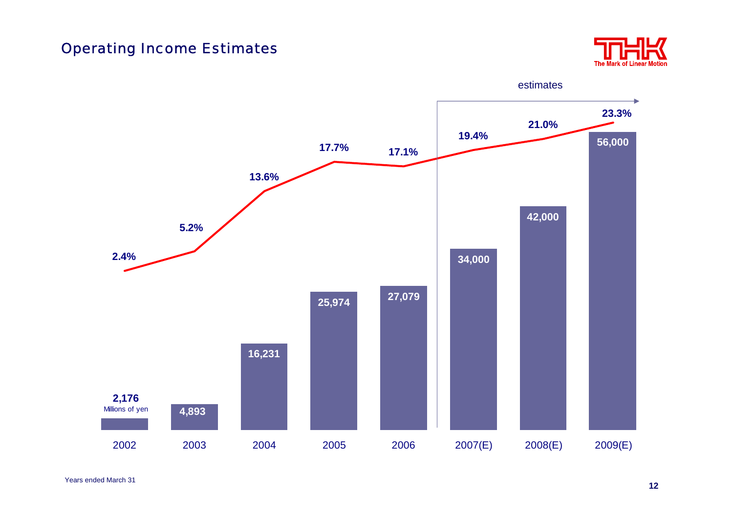# Operating Income Estimates



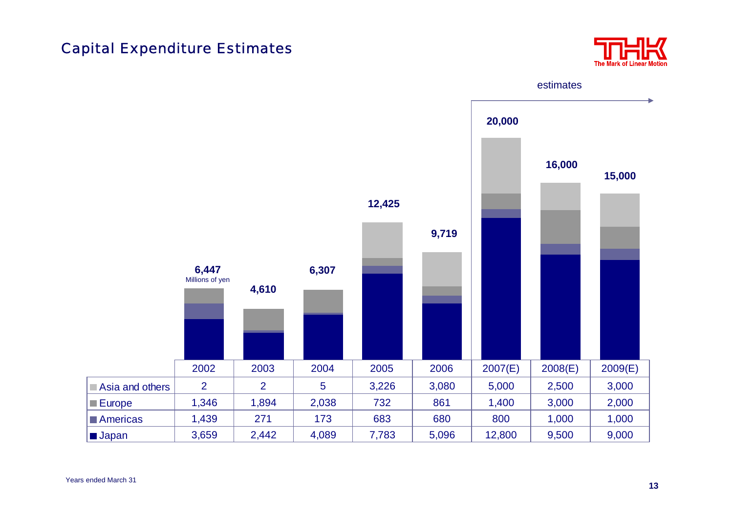# Capital Expenditure Estimates

![](_page_13_Picture_1.jpeg)

![](_page_13_Figure_2.jpeg)